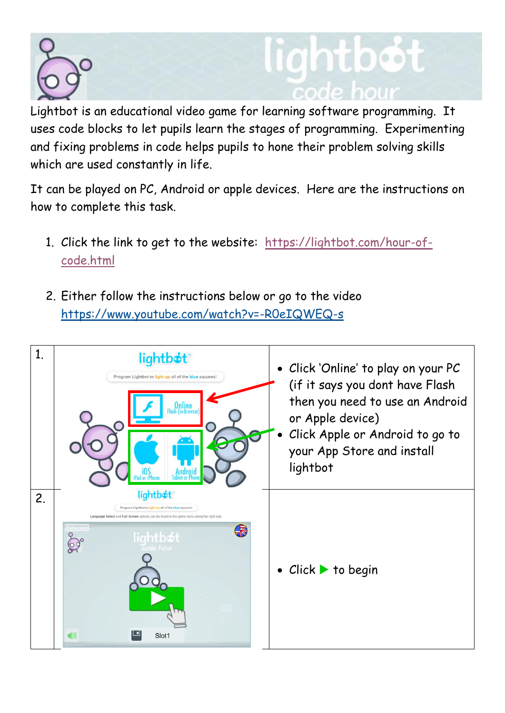

## ntbot

Lightbot is an educational video game for learning software programming. It uses code blocks to let pupils learn the stages of programming. Experimenting and fixing problems in code helps pupils to hone their problem solving skills which are used constantly in life.

It can be played on PC, Android or apple devices. Here are the instructions on how to complete this task.

- 1. Click the link to get to the website: [https://lightbot.com/hour-of](https://lightbot.com/hour-of-code.html)[code.html](https://lightbot.com/hour-of-code.html)
- 2. Either follow the instructions below or go to the video https://www.youtube.com/watch?v=-R0eIQWEQ-s